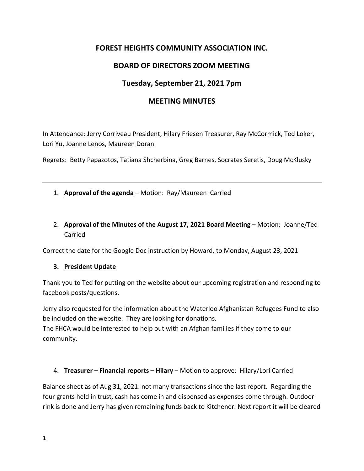# **FOREST HEIGHTS COMMUNITY ASSOCIATION INC.**

## **BOARD OF DIRECTORS ZOOM MEETING**

## **Tuesday, September 21, 2021 7pm**

### **MEETING MINUTES**

In Attendance: Jerry Corriveau President, Hilary Friesen Treasurer, Ray McCormick, Ted Loker, Lori Yu, Joanne Lenos, Maureen Doran

Regrets: Betty Papazotos, Tatiana Shcherbina, Greg Barnes, Socrates Seretis, Doug McKlusky

#### 1. **Approval of the agenda** – Motion: Ray/Maureen Carried

## 2. **Approval of the Minutes of the August 17, 2021 Board Meeting** – Motion: Joanne/Ted Carried

Correct the date for the Google Doc instruction by Howard, to Monday, August 23, 2021

#### **3. President Update**

Thank you to Ted for putting on the website about our upcoming registration and responding to facebook posts/questions.

Jerry also requested for the information about the Waterloo Afghanistan Refugees Fund to also be included on the website. They are looking for donations.

The FHCA would be interested to help out with an Afghan families if they come to our community.

#### 4. **Treasurer – Financial reports – Hilary** – Motion to approve: Hilary/Lori Carried

Balance sheet as of Aug 31, 2021: not many transactions since the last report. Regarding the four grants held in trust, cash has come in and dispensed as expenses come through. Outdoor rink is done and Jerry has given remaining funds back to Kitchener. Next report it will be cleared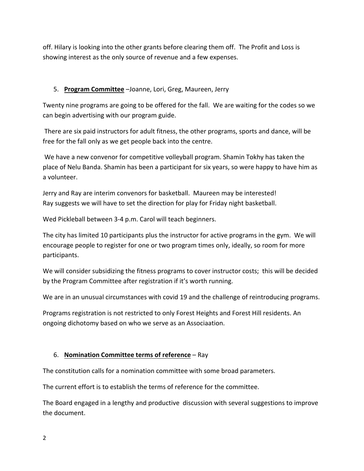off. Hilary is looking into the other grants before clearing them off. The Profit and Loss is showing interest as the only source of revenue and a few expenses.

### 5. **Program Committee** –Joanne, Lori, Greg, Maureen, Jerry

Twenty nine programs are going to be offered for the fall. We are waiting for the codes so we can begin advertising with our program guide.

 There are six paid instructors for adult fitness, the other programs, sports and dance, will be free for the fall only as we get people back into the centre.

 We have a new convenor for competitive volleyball program. Shamin Tokhy has taken the place of Nelu Banda. Shamin has been a participant for six years, so were happy to have him as a volunteer.

Jerry and Ray are interim convenors for basketball. Maureen may be interested! Ray suggests we will have to set the direction for play for Friday night basketball.

Wed Pickleball between 3‐4 p.m. Carol will teach beginners.

The city has limited 10 participants plus the instructor for active programs in the gym. We will encourage people to register for one or two program times only, ideally, so room for more participants.

We will consider subsidizing the fitness programs to cover instructor costs; this will be decided by the Program Committee after registration if it's worth running.

We are in an unusual circumstances with covid 19 and the challenge of reintroducing programs.

Programs registration is not restricted to only Forest Heights and Forest Hill residents. An ongoing dichotomy based on who we serve as an Associaation.

#### 6. **Nomination Committee terms of reference** – Ray

The constitution calls for a nomination committee with some broad parameters.

The current effort is to establish the terms of reference for the committee.

The Board engaged in a lengthy and productive discussion with several suggestions to improve the document.